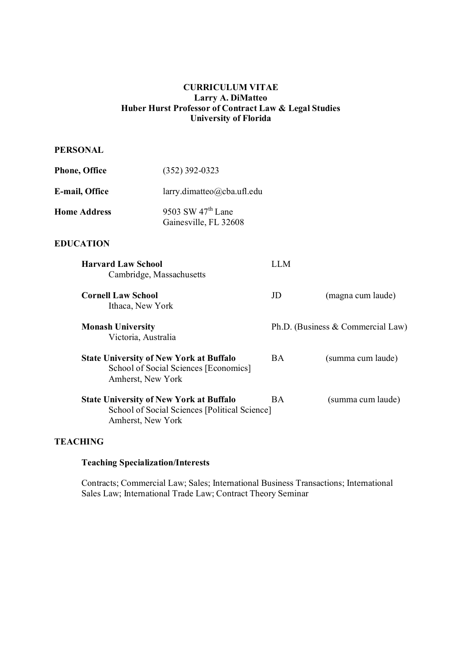# **CURRICULUM VITAE Larry A. DiMatteo Huber Hurst Professor of Contract Law & Legal Studies University of Florida**

# **PERSONAL**

| <b>Phone, Office</b> | $(352)$ 392-0323                             |
|----------------------|----------------------------------------------|
| E-mail, Office       | $larrow.dimateo(\partial_cba.ufl.edu)$       |
| <b>Home Address</b>  | 9503 SW $47th$ Lane<br>Gainesville, FL 32608 |

# **EDUCATION**

| <b>Harvard Law School</b><br>Cambridge, Massachusetts                                                                | LLM |                                   |
|----------------------------------------------------------------------------------------------------------------------|-----|-----------------------------------|
| <b>Cornell Law School</b><br>Ithaca, New York                                                                        | JD  | (magna cum laude)                 |
| <b>Monash University</b><br>Victoria, Australia                                                                      |     | Ph.D. (Business & Commercial Law) |
| <b>State University of New York at Buffalo</b><br>School of Social Sciences [Economics]<br>Amherst, New York         | BA. | (summa cum laude)                 |
| <b>State University of New York at Buffalo</b><br>School of Social Sciences [Political Science]<br>Amherst, New York | BA. | (summa cum laude)                 |

# **TEACHING**

#### **Teaching Specialization/Interests**

Contracts; Commercial Law; Sales; International Business Transactions; International Sales Law; International Trade Law; Contract Theory Seminar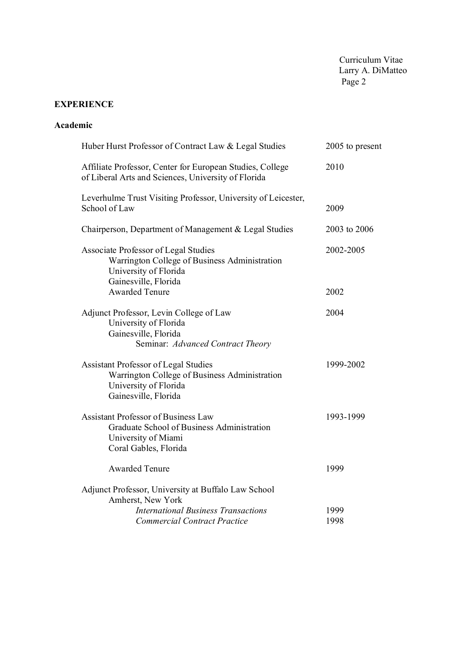# **EXPERIENCE**

## **Academic**

| Huber Hurst Professor of Contract Law & Legal Studies<br>2005 to present                                                                      |              |  |
|-----------------------------------------------------------------------------------------------------------------------------------------------|--------------|--|
| Affiliate Professor, Center for European Studies, College<br>of Liberal Arts and Sciences, University of Florida                              | 2010         |  |
| Leverhulme Trust Visiting Professor, University of Leicester,<br>School of Law                                                                | 2009         |  |
| Chairperson, Department of Management & Legal Studies                                                                                         | 2003 to 2006 |  |
| Associate Professor of Legal Studies<br>Warrington College of Business Administration<br>University of Florida<br>Gainesville, Florida        | 2002-2005    |  |
| <b>Awarded Tenure</b>                                                                                                                         | 2002         |  |
| Adjunct Professor, Levin College of Law<br>University of Florida<br>Gainesville, Florida<br>Seminar: Advanced Contract Theory                 | 2004         |  |
| <b>Assistant Professor of Legal Studies</b><br>Warrington College of Business Administration<br>University of Florida<br>Gainesville, Florida | 1999-2002    |  |
| <b>Assistant Professor of Business Law</b><br>Graduate School of Business Administration<br>University of Miami<br>Coral Gables, Florida      | 1993-1999    |  |
| <b>Awarded Tenure</b>                                                                                                                         | 1999         |  |
| Adjunct Professor, University at Buffalo Law School<br>Amherst, New York                                                                      |              |  |
| <b>International Business Transactions</b>                                                                                                    | 1999         |  |
| <b>Commercial Contract Practice</b>                                                                                                           | 1998         |  |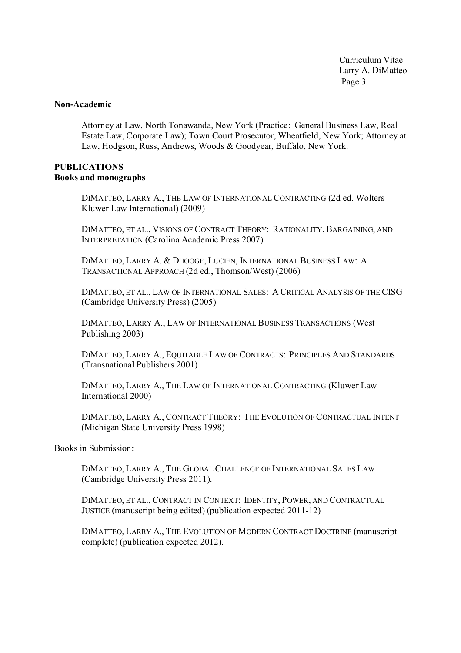#### **Non-Academic**

Attorney at Law, North Tonawanda, New York (Practice: General Business Law, Real Estate Law, Corporate Law); Town Court Prosecutor, Wheatfield, New York; Attorney at Law, Hodgson, Russ, Andrews, Woods & Goodyear, Buffalo, New York.

## **PUBLICATIONS Books and monographs**

DIMATTEO, LARRY A., THE LAW OF INTERNATIONAL CONTRACTING (2d ed. Wolters Kluwer Law International) (2009)

DIMATTEO, ET AL., VISIONS OF CONTRACT THEORY: RATIONALITY, BARGAINING, AND INTERPRETATION (Carolina Academic Press 2007)

DIMATTEO, LARRY A. & DHOOGE, LUCIEN, INTERNATIONAL BUSINESS LAW: A TRANSACTIONAL APPROACH (2d ed., Thomson/West) (2006)

DIMATTEO, ET AL., LAW OF INTERNATIONAL SALES: A CRITICAL ANALYSIS OF THE CISG (Cambridge University Press) (2005)

DIMATTEO, LARRY A., LAW OF INTERNATIONAL BUSINESS TRANSACTIONS (West Publishing 2003)

DIMATTEO, LARRY A., EQUITABLE LAW OF CONTRACTS: PRINCIPLES AND STANDARDS (Transnational Publishers 2001)

DIMATTEO, LARRY A., THE LAW OF INTERNATIONAL CONTRACTING (Kluwer Law International 2000)

DIMATTEO, LARRY A., CONTRACT THEORY: THE EVOLUTION OF CONTRACTUAL INTENT (Michigan State University Press 1998)

Books in Submission:

DIMATTEO, LARRY A., THE GLOBAL CHALLENGE OF INTERNATIONAL SALES LAW (Cambridge University Press 2011).

DIMATTEO, ET AL., CONTRACT IN CONTEXT: IDENTITY, POWER, AND CONTRACTUAL JUSTICE (manuscript being edited) (publication expected 2011-12)

DIMATTEO, LARRY A., THE EVOLUTION OF MODERN CONTRACT DOCTRINE (manuscript complete) (publication expected 2012).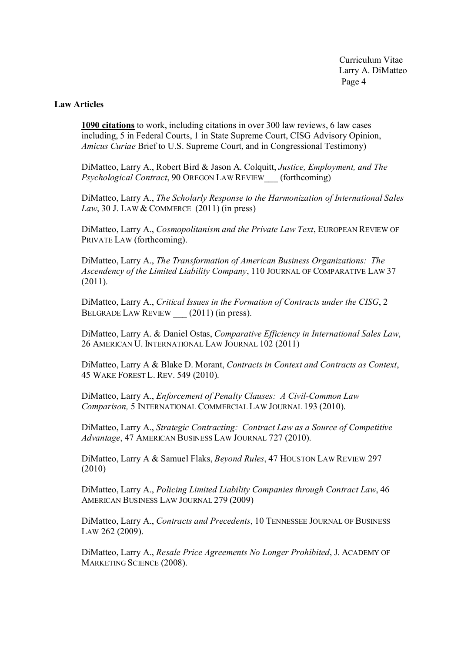#### **Law Articles**

**1090 citations** to work, including citations in over 300 law reviews, 6 law cases including, 5 in Federal Courts, 1 in State Supreme Court, CISG Advisory Opinion, *Amicus Curiae* Brief to U.S. Supreme Court, and in Congressional Testimony)

DiMatteo, Larry A., Robert Bird & Jason A. Colquitt, *Justice, Employment, and The Psychological Contract*, 90 OREGON LAW REVIEW\_\_\_ (forthcoming)

DiMatteo, Larry A., *The Scholarly Response to the Harmonization of International Sales Law*, 30 J. LAW & COMMERCE (2011) (in press)

DiMatteo, Larry A., *Cosmopolitanism and the Private Law Text*, EUROPEAN REVIEW OF PRIVATE LAW (forthcoming).

DiMatteo, Larry A., *The Transformation of American Business Organizations: The Ascendency of the Limited Liability Company*, 110 JOURNAL OF COMPARATIVE LAW 37 (2011).

DiMatteo, Larry A., *Critical Issues in the Formation of Contracts under the CISG*, 2 BELGRADE LAW REVIEW (2011) (in press).

DiMatteo, Larry A. & Daniel Ostas, *Comparative Efficiency in International Sales Law*, 26 AMERICAN U. INTERNATIONAL LAW JOURNAL 102 (2011)

DiMatteo, Larry A & Blake D. Morant, *Contracts in Context and Contracts as Context*, 45 WAKE FOREST L. REV. 549 (2010).

DiMatteo, Larry A., *Enforcement of Penalty Clauses: A Civil-Common Law Comparison,* 5 INTERNATIONAL COMMERCIAL LAW JOURNAL 193 (2010).

DiMatteo, Larry A., *Strategic Contracting: Contract Law as a Source of Competitive Advantage*, 47 AMERICAN BUSINESS LAW JOURNAL 727 (2010).

DiMatteo, Larry A & Samuel Flaks, *Beyond Rules*, 47 HOUSTON LAW REVIEW 297 (2010)

DiMatteo, Larry A., *Policing Limited Liability Companies through Contract Law*, 46 AMERICAN BUSINESS LAW JOURNAL 279 (2009)

DiMatteo, Larry A., *Contracts and Precedents*, 10 TENNESSEE JOURNAL OF BUSINESS LAW 262 (2009).

DiMatteo, Larry A., *Resale Price Agreements No Longer Prohibited*, J. ACADEMY OF MARKETING SCIENCE (2008).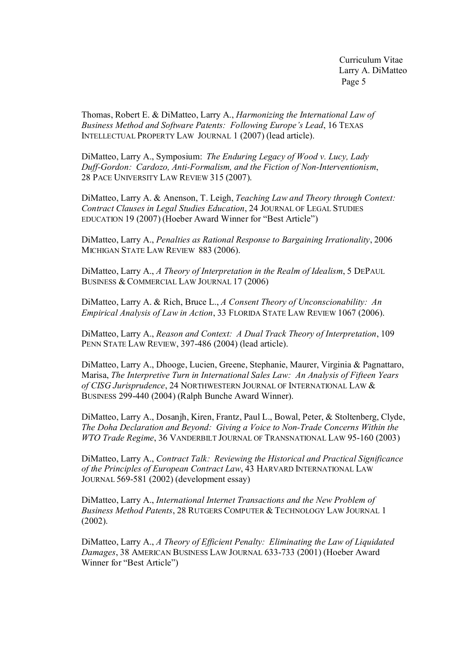Thomas, Robert E. & DiMatteo, Larry A., *Harmonizing the International Law of Business Method and Software Patents: Following Europe's Lead*, 16 TEXAS INTELLECTUAL PROPERTY LAW JOURNAL 1 (2007) (lead article).

DiMatteo, Larry A., Symposium: *The Enduring Legacy of Wood v. Lucy, Lady Duff-Gordon: Cardozo, Anti-Formalism, and the Fiction of Non-Interventionism*, 28 PACE UNIVERSITY LAW REVIEW 315 (2007).

DiMatteo, Larry A. & Anenson, T. Leigh, *Teaching Law and Theory through Context: Contract Clauses in Legal Studies Education*, 24 JOURNAL OF LEGAL STUDIES EDUCATION 19 (2007) (Hoeber Award Winner for "Best Article")

DiMatteo, Larry A., *Penalties as Rational Response to Bargaining Irrationality*, 2006 MICHIGAN STATE LAW REVIEW 883 (2006).

DiMatteo, Larry A., *A Theory of Interpretation in the Realm of Idealism*, 5 DEPAUL BUSINESS & COMMERCIAL LAW JOURNAL 17 (2006)

DiMatteo, Larry A. & Rich, Bruce L., *A Consent Theory of Unconscionability: An Empirical Analysis of Law in Action*, 33 FLORIDA STATE LAW REVIEW 1067 (2006).

DiMatteo, Larry A., *Reason and Context: A Dual Track Theory of Interpretation*, 109 PENN STATE LAW REVIEW, 397-486 (2004) (lead article).

DiMatteo, Larry A., Dhooge, Lucien, Greene, Stephanie, Maurer, Virginia & Pagnattaro, Marisa, *The Interpretive Turn in International Sales Law: An Analysis of Fifteen Years of CISG Jurisprudence*, 24 NORTHWESTERN JOURNAL OF INTERNATIONAL LAW & BUSINESS 299-440 (2004) (Ralph Bunche Award Winner).

DiMatteo, Larry A., Dosanjh, Kiren, Frantz, Paul L., Bowal, Peter, & Stoltenberg, Clyde, *The Doha Declaration and Beyond: Giving a Voice to Non-Trade Concerns Within the WTO Trade Regime*, 36 VANDERBILT JOURNAL OF TRANSNATIONAL LAW 95-160 (2003)

DiMatteo, Larry A., *Contract Talk: Reviewing the Historical and Practical Significance of the Principles of European Contract Law*, 43 HARVARD INTERNATIONAL LAW JOURNAL 569-581 (2002) (development essay)

DiMatteo, Larry A., *International Internet Transactions and the New Problem of Business Method Patents*, 28 RUTGERS COMPUTER & TECHNOLOGY LAW JOURNAL 1 (2002).

DiMatteo, Larry A., *A Theory of Efficient Penalty: Eliminating the Law of Liquidated Damages*, 38 AMERICAN BUSINESS LAW JOURNAL 633-733 (2001) (Hoeber Award Winner for "Best Article")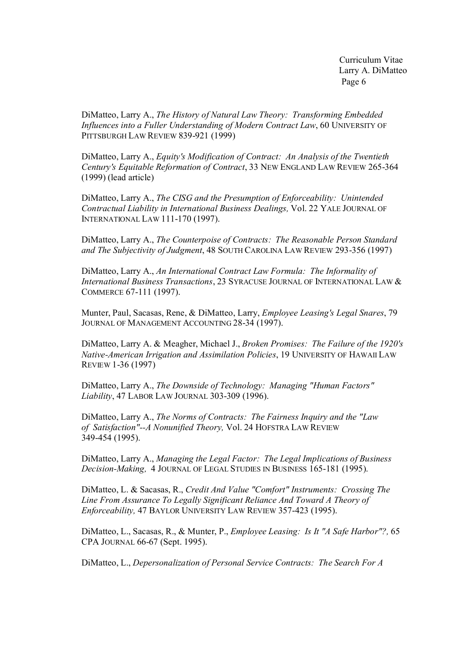DiMatteo, Larry A., *The History of Natural Law Theory: Transforming Embedded Influences into a Fuller Understanding of Modern Contract Law*, 60 UNIVERSITY OF PITTSBURGH LAW REVIEW 839-921 (1999)

DiMatteo, Larry A., *Equity's Modification of Contract: An Analysis of the Twentieth Century's Equitable Reformation of Contract*, 33 NEW ENGLAND LAW REVIEW 265-364 (1999) (lead article)

DiMatteo, Larry A., *The CISG and the Presumption of Enforceability: Unintended Contractual Liability in International Business Dealings,* Vol. 22 YALE JOURNAL OF INTERNATIONAL LAW 111-170 (1997).

DiMatteo, Larry A., *The Counterpoise of Contracts: The Reasonable Person Standard and The Subjectivity of Judgment*, 48 SOUTH CAROLINA LAW REVIEW 293-356 (1997)

DiMatteo, Larry A., *An International Contract Law Formula: The Informality of International Business Transactions*, 23 SYRACUSE JOURNAL OF INTERNATIONAL LAW & COMMERCE 67-111 (1997).

Munter, Paul, Sacasas, Rene, & DiMatteo, Larry, *Employee Leasing's Legal Snares*, 79 JOURNAL OF MANAGEMENT ACCOUNTING 28-34 (1997).

DiMatteo, Larry A. & Meagher, Michael J., *Broken Promises: The Failure of the 1920's Native-American Irrigation and Assimilation Policies*, 19 UNIVERSITY OF HAWAII LAW REVIEW 1-36 (1997)

DiMatteo, Larry A., *The Downside of Technology: Managing "Human Factors" Liability*, 47 LABOR LAW JOURNAL 303-309 (1996).

DiMatteo, Larry A., *The Norms of Contracts: The Fairness Inquiry and the "Law of Satisfaction"--A Nonunified Theory,* Vol. 24 HOFSTRA LAW REVIEW 349-454 (1995).

DiMatteo, Larry A., *Managing the Legal Factor: The Legal Implications of Business Decision-Making,* 4 JOURNAL OF LEGAL STUDIES IN BUSINESS 165-181 (1995).

DiMatteo, L. & Sacasas, R., *Credit And Value "Comfort" Instruments: Crossing The Line From Assurance To Legally Significant Reliance And Toward A Theory of Enforceability,* 47 BAYLOR UNIVERSITY LAW REVIEW 357-423 (1995).

DiMatteo, L., Sacasas, R., & Munter, P., *Employee Leasing: Is It "A Safe Harbor"?,* 65 CPA JOURNAL 66-67 (Sept. 1995).

DiMatteo, L., *Depersonalization of Personal Service Contracts: The Search For A*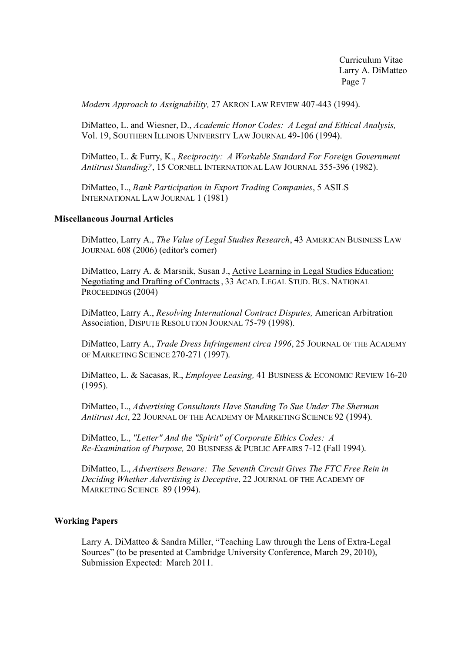*Modern Approach to Assignability,* 27 AKRON LAW REVIEW 407-443 (1994).

DiMatteo, L. and Wiesner, D., *Academic Honor Codes: A Legal and Ethical Analysis,*  Vol. 19, SOUTHERN ILLINOIS UNIVERSITY LAW JOURNAL 49-106 (1994).

DiMatteo, L. & Furry, K., *Reciprocity: A Workable Standard For Foreign Government Antitrust Standing?*, 15 CORNELL INTERNATIONAL LAW JOURNAL 355-396 (1982).

DiMatteo, L., *Bank Participation in Export Trading Companies*, 5 ASILS INTERNATIONAL LAW JOURNAL 1 (1981)

#### **Miscellaneous Journal Articles**

DiMatteo, Larry A., *The Value of Legal Studies Research*, 43 AMERICAN BUSINESS LAW JOURNAL 608 (2006) (editor's corner)

DiMatteo, Larry A. & Marsnik, Susan J., Active Learning in Legal Studies Education: Negotiating and Drafting of Contracts , 33 ACAD. LEGAL STUD. BUS. NATIONAL PROCEEDINGS (2004)

DiMatteo, Larry A., *Resolving International Contract Disputes,* American Arbitration Association, DISPUTE RESOLUTION JOURNAL 75-79 (1998).

DiMatteo, Larry A., *Trade Dress Infringement circa 1996*, 25 JOURNAL OF THE ACADEMY OF MARKETING SCIENCE 270-271 (1997).

DiMatteo, L. & Sacasas, R., *Employee Leasing,* 41 BUSINESS & ECONOMIC REVIEW 16-20 (1995).

DiMatteo, L., *Advertising Consultants Have Standing To Sue Under The Sherman Antitrust Act*, 22 JOURNAL OF THE ACADEMY OF MARKETING SCIENCE 92 (1994).

DiMatteo, L., *"Letter" And the "Spirit" of Corporate Ethics Codes: A Re-Examination of Purpose,* 20 BUSINESS & PUBLIC AFFAIRS 7-12 (Fall 1994).

DiMatteo, L., *Advertisers Beware: The Seventh Circuit Gives The FTC Free Rein in Deciding Whether Advertising is Deceptive*, 22 JOURNAL OF THE ACADEMY OF MARKETING SCIENCE 89 (1994).

#### **Working Papers**

Larry A. DiMatteo & Sandra Miller, "Teaching Law through the Lens of Extra-Legal Sources" (to be presented at Cambridge University Conference, March 29, 2010), Submission Expected: March 2011.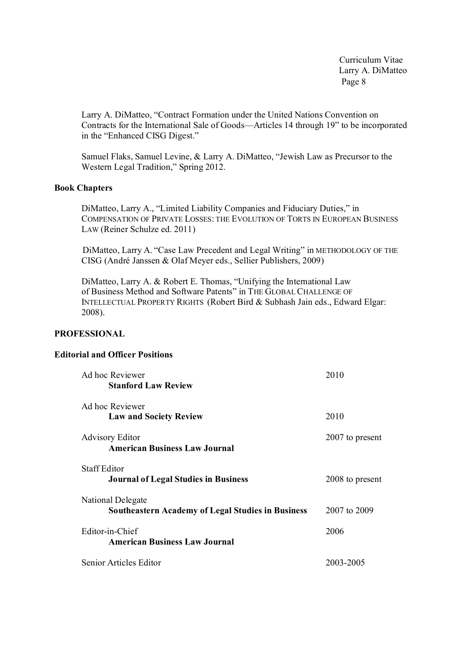Larry A. DiMatteo, "Contract Formation under the United Nations Convention on Contracts for the International Sale of Goods—Articles 14 through 19" to be incorporated in the "Enhanced CISG Digest."

Samuel Flaks, Samuel Levine, & Larry A. DiMatteo, "Jewish Law as Precursor to the Western Legal Tradition," Spring 2012.

## **Book Chapters**

DiMatteo, Larry A., "Limited Liability Companies and Fiduciary Duties," in COMPENSATION OF PRIVATE LOSSES: THE EVOLUTION OF TORTS IN EUROPEAN BUSINESS LAW (Reiner Schulze ed. 2011)

DiMatteo, Larry A. "Case Law Precedent and Legal Writing" in METHODOLOGY OF THE CISG (André Janssen & Olaf Meyer eds., Sellier Publishers, 2009)

DiMatteo, Larry A. & Robert E. Thomas, "Unifying the International Law of Business Method and Software Patents" in THE GLOBAL CHALLENGE OF INTELLECTUAL PROPERTY RIGHTS (Robert Bird & Subhash Jain eds., Edward Elgar: 2008).

## **PROFESSIONAL**

## **Editorial and Officer Positions**

| Ad hoc Reviewer<br><b>Stanford Law Review</b>                                 | 2010            |
|-------------------------------------------------------------------------------|-----------------|
| Ad hoc Reviewer<br><b>Law and Society Review</b>                              | 2010            |
| <b>Advisory Editor</b><br><b>American Business Law Journal</b>                | 2007 to present |
| <b>Staff Editor</b><br><b>Journal of Legal Studies in Business</b>            | 2008 to present |
| National Delegate<br><b>Southeastern Academy of Legal Studies in Business</b> | 2007 to 2009    |
| Editor-in-Chief<br><b>American Business Law Journal</b>                       | 2006            |
| Senior Articles Editor                                                        | 2003-2005       |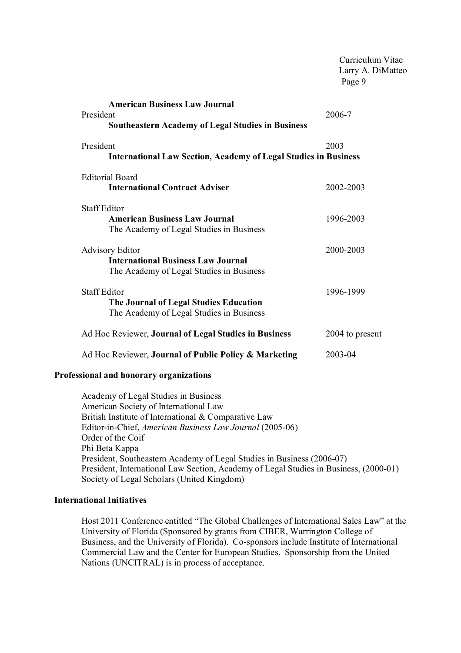|                                                                                                                 | Curriculum Vitae<br>Larry A. DiMatteo<br>Page 9 |
|-----------------------------------------------------------------------------------------------------------------|-------------------------------------------------|
| <b>American Business Law Journal</b><br>President<br><b>Southeastern Academy of Legal Studies in Business</b>   | 2006-7                                          |
| President<br><b>International Law Section, Academy of Legal Studies in Business</b>                             | 2003                                            |
| <b>Editorial Board</b><br><b>International Contract Adviser</b>                                                 | 2002-2003                                       |
| <b>Staff Editor</b><br><b>American Business Law Journal</b><br>The Academy of Legal Studies in Business         | 1996-2003                                       |
| <b>Advisory Editor</b><br><b>International Business Law Journal</b><br>The Academy of Legal Studies in Business | 2000-2003                                       |
| <b>Staff Editor</b><br>The Journal of Legal Studies Education<br>The Academy of Legal Studies in Business       | 1996-1999                                       |
| Ad Hoc Reviewer, Journal of Legal Studies in Business                                                           | 2004 to present                                 |
| Ad Hoc Reviewer, Journal of Public Policy & Marketing                                                           | 2003-04                                         |
| Professional and honorary organizations                                                                         |                                                 |
| Academy of Legal Studies in Business                                                                            |                                                 |

Academy of Legal Studies in Business American Society of International Law British Institute of International & Comparative Law Editor-in-Chief, *American Business Law Journal* (2005-06) Order of the Coif Phi Beta Kappa President, Southeastern Academy of Legal Studies in Business (2006-07) President, International Law Section, Academy of Legal Studies in Business, (2000-01) Society of Legal Scholars (United Kingdom)

#### **International Initiatives**

Host 2011 Conference entitled "The Global Challenges of International Sales Law" at the University of Florida (Sponsored by grants from CIBER, Warrington College of Business, and the University of Florida). Co-sponsors include Institute of International Commercial Law and the Center for European Studies. Sponsorship from the United Nations (UNCITRAL) is in process of acceptance.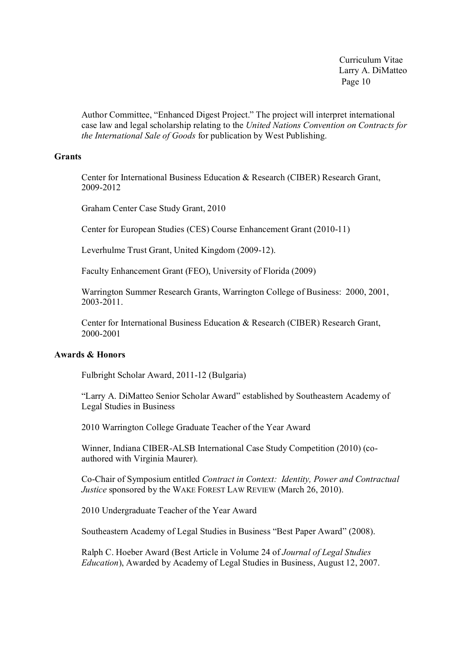Author Committee, "Enhanced Digest Project." The project will interpret international case law and legal scholarship relating to the *United Nations Convention on Contracts for the International Sale of Goods* for publication by West Publishing.

#### **Grants**

Center for International Business Education & Research (CIBER) Research Grant, 2009-2012

Graham Center Case Study Grant, 2010

Center for European Studies (CES) Course Enhancement Grant (2010-11)

Leverhulme Trust Grant, United Kingdom (2009-12).

Faculty Enhancement Grant (FEO), University of Florida (2009)

Warrington Summer Research Grants, Warrington College of Business: 2000, 2001, 2003-2011.

Center for International Business Education & Research (CIBER) Research Grant, 2000-2001

## **Awards & Honors**

Fulbright Scholar Award, 2011-12 (Bulgaria)

"Larry A. DiMatteo Senior Scholar Award" established by Southeastern Academy of Legal Studies in Business

2010 Warrington College Graduate Teacher of the Year Award

Winner, Indiana CIBER-ALSB International Case Study Competition (2010) (coauthored with Virginia Maurer).

Co-Chair of Symposium entitled *Contract in Context: Identity, Power and Contractual Justice* sponsored by the WAKE FOREST LAW REVIEW (March 26, 2010).

2010 Undergraduate Teacher of the Year Award

Southeastern Academy of Legal Studies in Business "Best Paper Award" (2008).

Ralph C. Hoeber Award (Best Article in Volume 24 of *Journal of Legal Studies Education*), Awarded by Academy of Legal Studies in Business, August 12, 2007.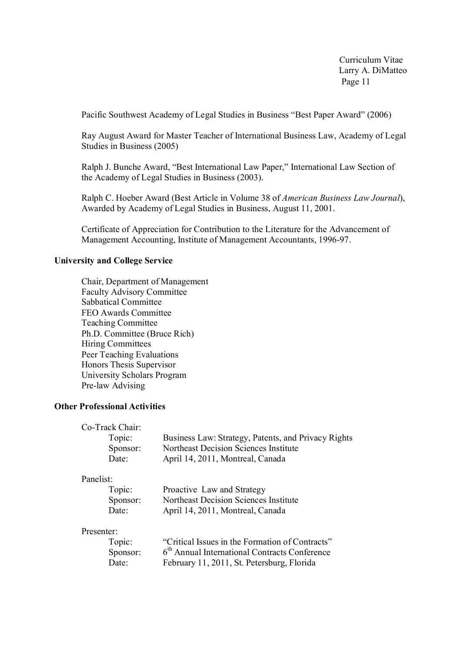Pacific Southwest Academy of Legal Studies in Business "Best Paper Award" (2006)

Ray August Award for Master Teacher of International Business Law, Academy of Legal Studies in Business (2005)

Ralph J. Bunche Award, "Best International Law Paper," International Law Section of the Academy of Legal Studies in Business (2003).

Ralph C. Hoeber Award (Best Article in Volume 38 of *American Business Law Journal*), Awarded by Academy of Legal Studies in Business, August 11, 2001.

Certificate of Appreciation for Contribution to the Literature for the Advancement of Management Accounting, Institute of Management Accountants, 1996-97.

## **University and College Service**

Chair, Department of Management Faculty Advisory Committee Sabbatical Committee FEO Awards Committee Teaching Committee Ph.D. Committee (Bruce Rich) Hiring Committees Peer Teaching Evaluations Honors Thesis Supervisor University Scholars Program Pre-law Advising

## **Other Professional Activities**

| Co-Track Chair: |                                                     |
|-----------------|-----------------------------------------------------|
| Topic:          | Business Law: Strategy, Patents, and Privacy Rights |
| Sponsor:        | Northeast Decision Sciences Institute               |
| Date:           | April 14, 2011, Montreal, Canada                    |

#### Panelist:

| Topic:   | Proactive Law and Strategy            |
|----------|---------------------------------------|
| Sponsor: | Northeast Decision Sciences Institute |
| Date:    | April 14, 2011, Montreal, Canada      |

#### Presenter:

| Topic:   | "Critical Issues in the Formation of Contracts"           |
|----------|-----------------------------------------------------------|
| Sponsor: | 6 <sup>th</sup> Annual International Contracts Conference |
| Date:    | February 11, 2011, St. Petersburg, Florida                |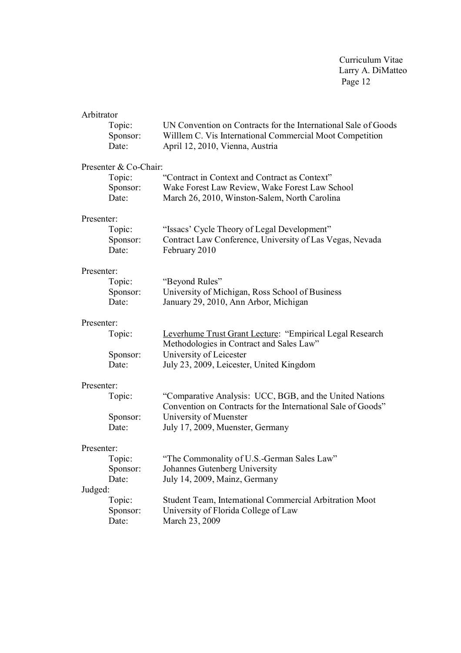| Arbitrator<br>Topic:<br>Sponsor:<br>Date:                                           | UN Convention on Contracts for the International Sale of Goods<br>Willlem C. Vis International Commercial Moot Competition<br>April 12, 2010, Vienna, Austria                                                                     |
|-------------------------------------------------------------------------------------|-----------------------------------------------------------------------------------------------------------------------------------------------------------------------------------------------------------------------------------|
| Presenter & Co-Chair:<br>Topic:<br>Sponsor:<br>Date:                                | "Contract in Context and Contract as Context"<br>Wake Forest Law Review, Wake Forest Law School<br>March 26, 2010, Winston-Salem, North Carolina                                                                                  |
| Presenter:<br>Topic:<br>Sponsor:<br>Date:                                           | "Issacs' Cycle Theory of Legal Development"<br>Contract Law Conference, University of Las Vegas, Nevada<br>February 2010                                                                                                          |
| Presenter:<br>Topic:<br>Sponsor:<br>Date:                                           | "Beyond Rules"<br>University of Michigan, Ross School of Business<br>January 29, 2010, Ann Arbor, Michigan                                                                                                                        |
| Presenter:<br>Topic:<br>Sponsor:<br>Date:                                           | Leverhume Trust Grant Lecture: "Empirical Legal Research<br>Methodologies in Contract and Sales Law"<br>University of Leicester<br>July 23, 2009, Leicester, United Kingdom                                                       |
| Presenter:<br>Topic:<br>Sponsor:<br>Date:                                           | "Comparative Analysis: UCC, BGB, and the United Nations<br>Convention on Contracts for the International Sale of Goods"<br>University of Muenster<br>July 17, 2009, Muenster, Germany                                             |
| Presenter:<br>Topic:<br>Sponsor:<br>Date:<br>Judged:<br>Topic:<br>Sponsor:<br>Date: | "The Commonality of U.S.-German Sales Law"<br>Johannes Gutenberg University<br>July 14, 2009, Mainz, Germany<br>Student Team, International Commercial Arbitration Moot<br>University of Florida College of Law<br>March 23, 2009 |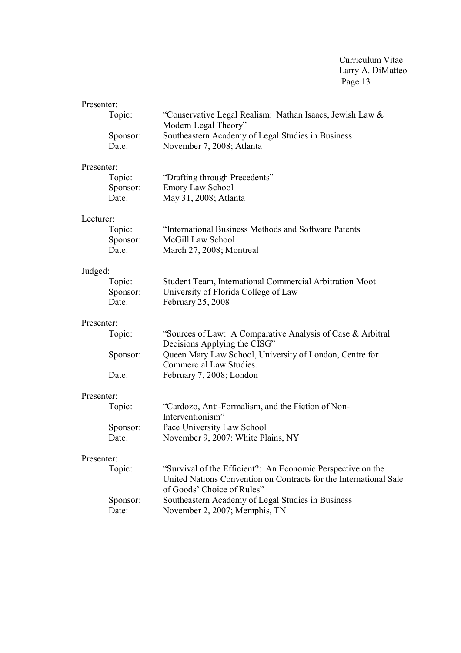| Presenter: |                   |                                                                                                                                                                |  |
|------------|-------------------|----------------------------------------------------------------------------------------------------------------------------------------------------------------|--|
|            | Topic:            | "Conservative Legal Realism: Nathan Isaacs, Jewish Law &                                                                                                       |  |
|            | Sponsor:          | Modern Legal Theory"<br>Southeastern Academy of Legal Studies in Business                                                                                      |  |
|            | Date:             | November 7, 2008; Atlanta                                                                                                                                      |  |
| Presenter: |                   |                                                                                                                                                                |  |
|            | Topic:            | "Drafting through Precedents"                                                                                                                                  |  |
|            | Sponsor:          | <b>Emory Law School</b>                                                                                                                                        |  |
|            | Date:             | May 31, 2008; Atlanta                                                                                                                                          |  |
| Lecturer:  |                   |                                                                                                                                                                |  |
|            | Topic:            | "International Business Methods and Software Patents                                                                                                           |  |
|            | Sponsor:          | McGill Law School                                                                                                                                              |  |
|            | Date:             | March 27, 2008; Montreal                                                                                                                                       |  |
| Judged:    |                   |                                                                                                                                                                |  |
|            | Topic:            | Student Team, International Commercial Arbitration Moot                                                                                                        |  |
|            | Sponsor:<br>Date: | University of Florida College of Law<br>February 25, 2008                                                                                                      |  |
|            |                   |                                                                                                                                                                |  |
|            | Presenter:        |                                                                                                                                                                |  |
|            | Topic:            | "Sources of Law: A Comparative Analysis of Case & Arbitral<br>Decisions Applying the CISG"                                                                     |  |
|            | Sponsor:          | Queen Mary Law School, University of London, Centre for<br>Commercial Law Studies.                                                                             |  |
|            | Date:             | February 7, 2008; London                                                                                                                                       |  |
| Presenter: |                   |                                                                                                                                                                |  |
|            | Topic:            | "Cardozo, Anti-Formalism, and the Fiction of Non-<br>Interventionism"                                                                                          |  |
|            | Sponsor:          | Pace University Law School                                                                                                                                     |  |
|            | Date:             | November 9, 2007: White Plains, NY                                                                                                                             |  |
| Presenter: |                   |                                                                                                                                                                |  |
|            | Topic:            | "Survival of the Efficient?: An Economic Perspective on the<br>United Nations Convention on Contracts for the International Sale<br>of Goods' Choice of Rules" |  |
|            | Sponsor:          | Southeastern Academy of Legal Studies in Business                                                                                                              |  |
|            | Date:             | November 2, 2007; Memphis, TN                                                                                                                                  |  |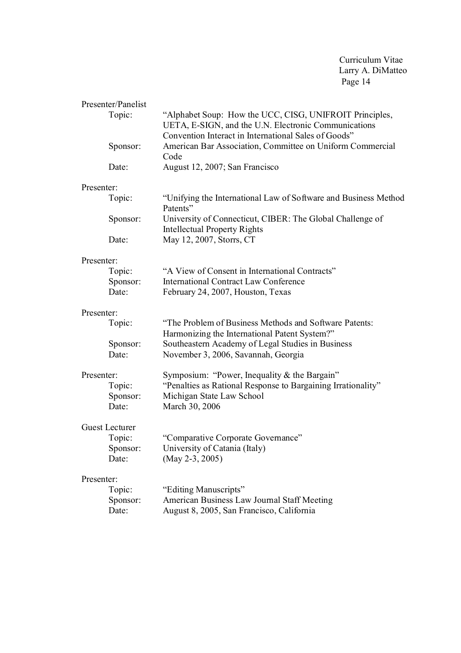|            | Presenter/Panelist    |                                                                                                                                                                         |  |
|------------|-----------------------|-------------------------------------------------------------------------------------------------------------------------------------------------------------------------|--|
|            | Topic:                | "Alphabet Soup: How the UCC, CISG, UNIFROIT Principles,<br>UETA, E-SIGN, and the U.N. Electronic Communications<br>Convention Interact in International Sales of Goods" |  |
|            | Sponsor:              | American Bar Association, Committee on Uniform Commercial<br>Code                                                                                                       |  |
|            | Date:                 | August 12, 2007; San Francisco                                                                                                                                          |  |
| Presenter: |                       |                                                                                                                                                                         |  |
|            | Topic:                | "Unifying the International Law of Software and Business Method<br>Patents"                                                                                             |  |
|            | Sponsor:              | University of Connecticut, CIBER: The Global Challenge of<br><b>Intellectual Property Rights</b>                                                                        |  |
|            | Date:                 | May 12, 2007, Storrs, CT                                                                                                                                                |  |
| Presenter: |                       |                                                                                                                                                                         |  |
|            | Topic:                | "A View of Consent in International Contracts"                                                                                                                          |  |
|            | Sponsor:              | <b>International Contract Law Conference</b>                                                                                                                            |  |
|            | Date:                 | February 24, 2007, Houston, Texas                                                                                                                                       |  |
|            | Presenter:            |                                                                                                                                                                         |  |
|            | Topic:                | "The Problem of Business Methods and Software Patents:                                                                                                                  |  |
|            | Sponsor:              | Harmonizing the International Patent System?"<br>Southeastern Academy of Legal Studies in Business                                                                      |  |
|            | Date:                 | November 3, 2006, Savannah, Georgia                                                                                                                                     |  |
|            |                       |                                                                                                                                                                         |  |
| Presenter: |                       | Symposium: "Power, Inequality & the Bargain"                                                                                                                            |  |
|            | Topic:                | "Penalties as Rational Response to Bargaining Irrationality"                                                                                                            |  |
|            | Sponsor:              | Michigan State Law School                                                                                                                                               |  |
|            | Date:                 | March 30, 2006                                                                                                                                                          |  |
|            | <b>Guest Lecturer</b> |                                                                                                                                                                         |  |
|            | Topic:                | "Comparative Corporate Governance"                                                                                                                                      |  |
|            | Sponsor:              | University of Catania (Italy)                                                                                                                                           |  |
|            | Date:                 | (May 2-3, 2005)                                                                                                                                                         |  |
| Presenter: |                       |                                                                                                                                                                         |  |
|            | Topic:                | "Editing Manuscripts"                                                                                                                                                   |  |
|            | Sponsor:              | American Business Law Journal Staff Meeting                                                                                                                             |  |
|            | Date:                 | August 8, 2005, San Francisco, California                                                                                                                               |  |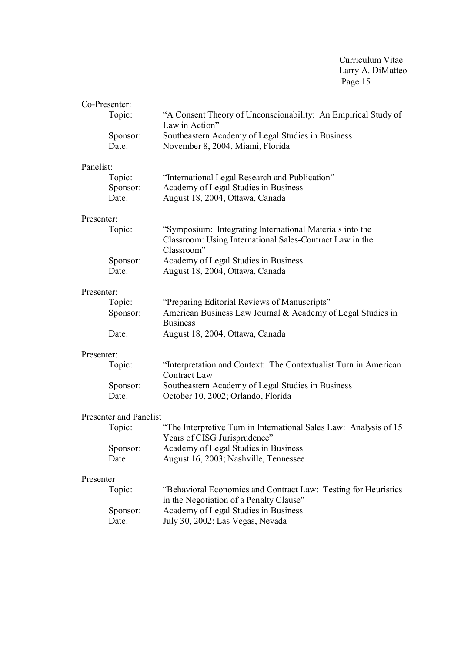| Co-Presenter: |                        |                                                                                 |  |
|---------------|------------------------|---------------------------------------------------------------------------------|--|
|               | Topic:                 | "A Consent Theory of Unconscionability: An Empirical Study of                   |  |
|               |                        | Law in Action"                                                                  |  |
|               | Sponsor:               | Southeastern Academy of Legal Studies in Business                               |  |
|               | Date:                  | November 8, 2004, Miami, Florida                                                |  |
| Panelist:     |                        |                                                                                 |  |
|               | Topic:                 | "International Legal Research and Publication"                                  |  |
|               | Sponsor:               | Academy of Legal Studies in Business                                            |  |
|               | Date:                  | August 18, 2004, Ottawa, Canada                                                 |  |
| Presenter:    |                        |                                                                                 |  |
|               | Topic:                 | "Symposium: Integrating International Materials into the                        |  |
|               |                        | Classroom: Using International Sales-Contract Law in the                        |  |
|               |                        | Classroom"                                                                      |  |
|               | Sponsor:               | Academy of Legal Studies in Business                                            |  |
|               | Date:                  | August 18, 2004, Ottawa, Canada                                                 |  |
| Presenter:    |                        |                                                                                 |  |
|               | Topic:                 | "Preparing Editorial Reviews of Manuscripts"                                    |  |
|               | Sponsor:               | American Business Law Journal & Academy of Legal Studies in                     |  |
|               |                        | <b>Business</b>                                                                 |  |
|               | Date:                  | August 18, 2004, Ottawa, Canada                                                 |  |
|               | Presenter:             |                                                                                 |  |
|               | Topic:                 | "Interpretation and Context: The Contextualist Turn in American<br>Contract Law |  |
|               | Sponsor:               | Southeastern Academy of Legal Studies in Business                               |  |
|               | Date:                  | October 10, 2002; Orlando, Florida                                              |  |
|               | Presenter and Panelist |                                                                                 |  |
|               | Topic:                 | "The Interpretive Turn in International Sales Law: Analysis of 15               |  |
|               |                        | Years of CISG Jurisprudence"                                                    |  |
|               | Sponsor:               | Academy of Legal Studies in Business                                            |  |
|               | Date:                  | August 16, 2003; Nashville, Tennessee                                           |  |
| Presenter     |                        |                                                                                 |  |
|               | Topic:                 | "Behavioral Economics and Contract Law: Testing for Heuristics"                 |  |
|               |                        | in the Negotiation of a Penalty Clause"                                         |  |
|               | Sponsor:               | Academy of Legal Studies in Business                                            |  |
|               | Date:                  | July 30, 2002; Las Vegas, Nevada                                                |  |
|               |                        |                                                                                 |  |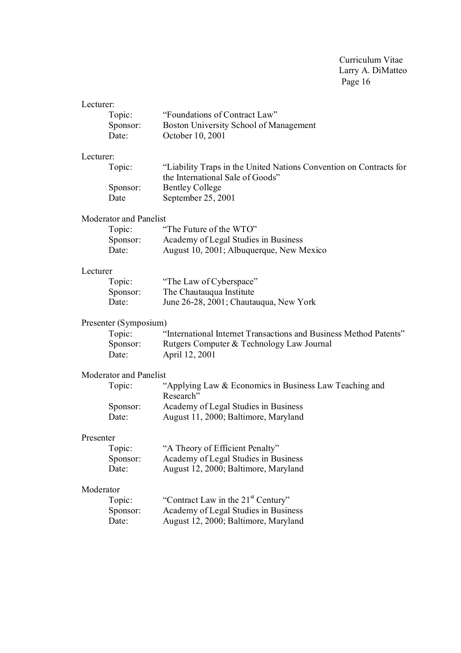| Lecturer: |                               |                                                                     |
|-----------|-------------------------------|---------------------------------------------------------------------|
|           | Topic:                        | "Foundations of Contract Law"                                       |
|           | Sponsor:                      | Boston University School of Management                              |
|           | Date:                         | October 10, 2001                                                    |
| Lecturer: |                               |                                                                     |
|           | Topic:                        | "Liability Traps in the United Nations Convention on Contracts for  |
|           |                               | the International Sale of Goods"                                    |
|           | Sponsor:                      | <b>Bentley College</b>                                              |
|           | Date                          | September 25, 2001                                                  |
|           | <b>Moderator and Panelist</b> |                                                                     |
|           | Topic:                        | "The Future of the WTO"                                             |
|           | Sponsor:                      | Academy of Legal Studies in Business                                |
|           | Date:                         | August 10, 2001; Albuquerque, New Mexico                            |
| Lecturer  |                               |                                                                     |
|           | Topic:                        | "The Law of Cyberspace"                                             |
|           | Sponsor:                      | The Chautauqua Institute                                            |
|           | Date:                         | June 26-28, 2001; Chautauqua, New York                              |
|           | Presenter (Symposium)         |                                                                     |
|           | Topic:                        | "International Internet Transactions and Business Method Patents"   |
|           | Sponsor:                      | Rutgers Computer & Technology Law Journal                           |
|           | Date:                         | April 12, 2001                                                      |
|           | <b>Moderator and Panelist</b> |                                                                     |
|           | Topic:                        | "Applying Law & Economics in Business Law Teaching and<br>Research" |
|           | Sponsor:                      | Academy of Legal Studies in Business                                |
|           | Date:                         | August 11, 2000; Baltimore, Maryland                                |
| Presenter |                               |                                                                     |
|           | Topic:                        | "A Theory of Efficient Penalty"                                     |
|           | Sponsor:                      | Academy of Legal Studies in Business                                |
|           | Date:                         | August 12, 2000; Baltimore, Maryland                                |
| Moderator |                               |                                                                     |
|           | Topic:                        | "Contract Law in the 21 <sup>st</sup> Century"                      |
|           | Sponsor:                      | Academy of Legal Studies in Business                                |
|           | Date:                         | August 12, 2000; Baltimore, Maryland                                |
|           |                               |                                                                     |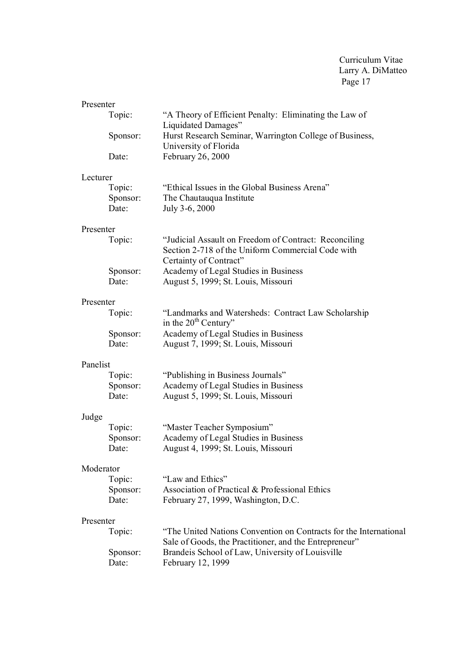| Presenter |                             |                                                                                                                                      |
|-----------|-----------------------------|--------------------------------------------------------------------------------------------------------------------------------------|
|           | Topic:                      | "A Theory of Efficient Penalty: Eliminating the Law of<br>Liquidated Damages"                                                        |
|           | Sponsor:                    | Hurst Research Seminar, Warrington College of Business,<br>University of Florida                                                     |
|           | Date:                       | February 26, 2000                                                                                                                    |
| Lecturer  |                             |                                                                                                                                      |
|           | Topic:<br>Sponsor:<br>Date: | "Ethical Issues in the Global Business Arena"<br>The Chautauqua Institute<br>July 3-6, 2000                                          |
| Presenter |                             |                                                                                                                                      |
|           | Topic:                      | "Judicial Assault on Freedom of Contract: Reconciling<br>Section 2-718 of the Uniform Commercial Code with<br>Certainty of Contract" |
|           | Sponsor:<br>Date:           | Academy of Legal Studies in Business<br>August 5, 1999; St. Louis, Missouri                                                          |
| Presenter |                             |                                                                                                                                      |
|           | Topic:                      | "Landmarks and Watersheds: Contract Law Scholarship<br>in the $20th$ Century"                                                        |
|           | Sponsor:<br>Date:           | Academy of Legal Studies in Business<br>August 7, 1999; St. Louis, Missouri                                                          |
| Panelist  |                             |                                                                                                                                      |
|           | Topic:                      | "Publishing in Business Journals"                                                                                                    |
|           | Sponsor:<br>Date:           | Academy of Legal Studies in Business<br>August 5, 1999; St. Louis, Missouri                                                          |
| Judge     |                             |                                                                                                                                      |
|           | Topic:                      | "Master Teacher Symposium"                                                                                                           |
|           | Sponsor:<br>Date:           | Academy of Legal Studies in Business<br>August 4, 1999; St. Louis, Missouri                                                          |
| Moderator |                             |                                                                                                                                      |
|           | Topic:                      | "Law and Ethics"                                                                                                                     |
|           | Sponsor:<br>Date:           | Association of Practical & Professional Ethics<br>February 27, 1999, Washington, D.C.                                                |
| Presenter |                             |                                                                                                                                      |
|           | Topic:                      | "The United Nations Convention on Contracts for the International<br>Sale of Goods, the Practitioner, and the Entrepreneur"          |
|           | Sponsor:<br>Date:           | Brandeis School of Law, University of Louisville<br>February 12, 1999                                                                |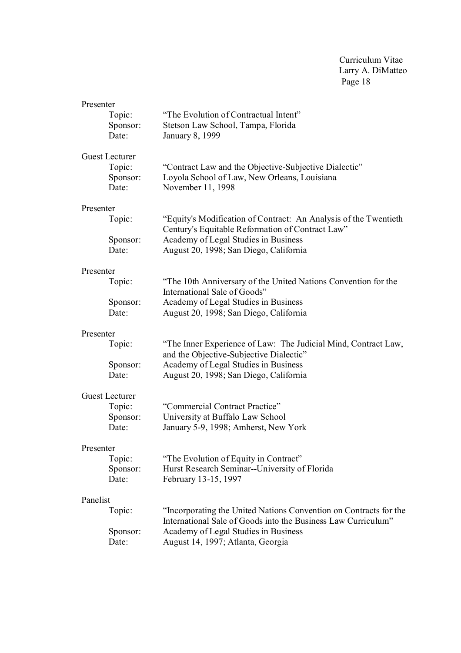| Presenter<br>Topic:<br>Sponsor:<br>Date:             | "The Evolution of Contractual Intent"<br>Stetson Law School, Tampa, Florida<br>January 8, 1999                             |
|------------------------------------------------------|----------------------------------------------------------------------------------------------------------------------------|
| <b>Guest Lecturer</b><br>Topic:<br>Sponsor:<br>Date: | "Contract Law and the Objective-Subjective Dialectic"<br>Loyola School of Law, New Orleans, Louisiana<br>November 11, 1998 |
| Presenter                                            | "Equity's Modification of Contract: An Analysis of the Twentieth                                                           |
| Topic:                                               | Century's Equitable Reformation of Contract Law"                                                                           |
| Sponsor:                                             | Academy of Legal Studies in Business                                                                                       |
| Date:                                                | August 20, 1998; San Diego, California                                                                                     |
| Presenter                                            | "The 10th Anniversary of the United Nations Convention for the                                                             |
| Topic:                                               | International Sale of Goods"                                                                                               |
| Sponsor:                                             | Academy of Legal Studies in Business                                                                                       |
| Date:                                                | August 20, 1998; San Diego, California                                                                                     |
| Presenter                                            | "The Inner Experience of Law: The Judicial Mind, Contract Law,                                                             |
| Topic:                                               | and the Objective-Subjective Dialectic"                                                                                    |
| Sponsor:                                             | Academy of Legal Studies in Business                                                                                       |
| Date:                                                | August 20, 1998; San Diego, California                                                                                     |
| <b>Guest Lecturer</b><br>Topic:<br>Sponsor:<br>Date: | "Commercial Contract Practice"<br>University at Buffalo Law School<br>January 5-9, 1998; Amherst, New York                 |
| Presenter<br>Topic:<br>Sponsor:<br>Date:             | "The Evolution of Equity in Contract"<br>Hurst Research Seminar--University of Florida<br>February 13-15, 1997             |
| Panelist                                             | "Incorporating the United Nations Convention on Contracts for the                                                          |
| Topic:                                               | International Sale of Goods into the Business Law Curriculum"                                                              |
| Sponsor:                                             | Academy of Legal Studies in Business                                                                                       |
| Date:                                                | August 14, 1997; Atlanta, Georgia                                                                                          |